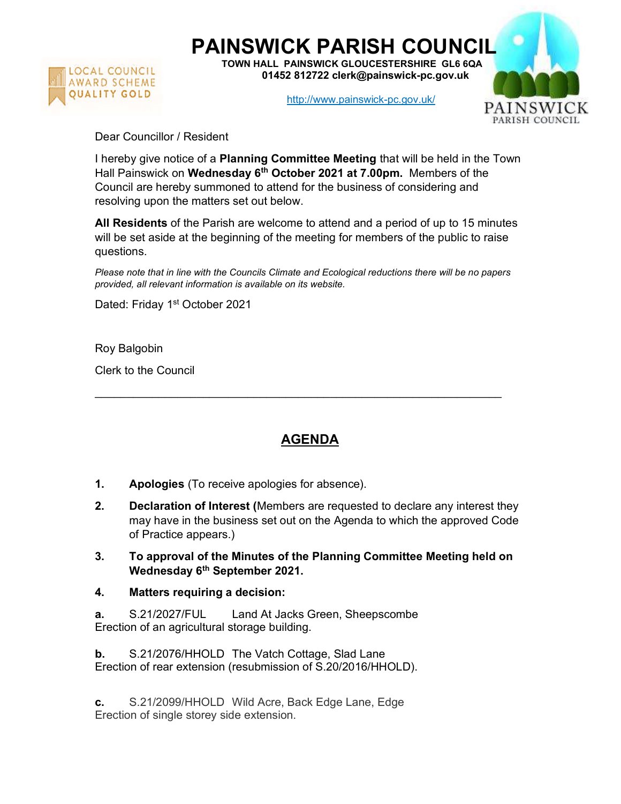

PAINSWICK PARISH COUNCIL

TOWN HALL PAINSWICK GLOUCESTERSHIRE GL6 6QA 01452 812722 clerk@painswick-pc.gov.uk

http://www.painswick-pc.gov.uk/



Dear Councillor / Resident

I hereby give notice of a **Planning Committee Meeting** that will be held in the Town Hall Painswick on Wednesday 6<sup>th</sup> October 2021 at 7.00pm. Members of the Council are hereby summoned to attend for the business of considering and resolving upon the matters set out below.

All Residents of the Parish are welcome to attend and a period of up to 15 minutes will be set aside at the beginning of the meeting for members of the public to raise questions.

Please note that in line with the Councils Climate and Ecological reductions there will be no papers provided, all relevant information is available on its website.

Dated: Friday 1<sup>st</sup> October 2021

Roy Balgobin

Clerk to the Council

## AGENDA

 $\mathcal{L}_\mathcal{L} = \{ \mathcal{L}_\mathcal{L} = \{ \mathcal{L}_\mathcal{L} = \{ \mathcal{L}_\mathcal{L} = \{ \mathcal{L}_\mathcal{L} = \{ \mathcal{L}_\mathcal{L} = \{ \mathcal{L}_\mathcal{L} = \{ \mathcal{L}_\mathcal{L} = \{ \mathcal{L}_\mathcal{L} = \{ \mathcal{L}_\mathcal{L} = \{ \mathcal{L}_\mathcal{L} = \{ \mathcal{L}_\mathcal{L} = \{ \mathcal{L}_\mathcal{L} = \{ \mathcal{L}_\mathcal{L} = \{ \mathcal{L}_\mathcal{$ 

- 1. Apologies (To receive apologies for absence).
- 2. Declaration of Interest (Members are requested to declare any interest they may have in the business set out on the Agenda to which the approved Code of Practice appears.)
- 3. To approval of the Minutes of the Planning Committee Meeting held on Wednesday 6<sup>th</sup> September 2021.
- 4. Matters requiring a decision:

a. S.21/2027/FUL Land At Jacks Green, Sheepscombe Erection of an agricultural storage building.

**b.** S.21/2076/HHOLD The Vatch Cottage, Slad Lane Erection of rear extension (resubmission of S.20/2016/HHOLD).

c. S.21/2099/HHOLD Wild Acre, Back Edge Lane, Edge Erection of single storey side extension.